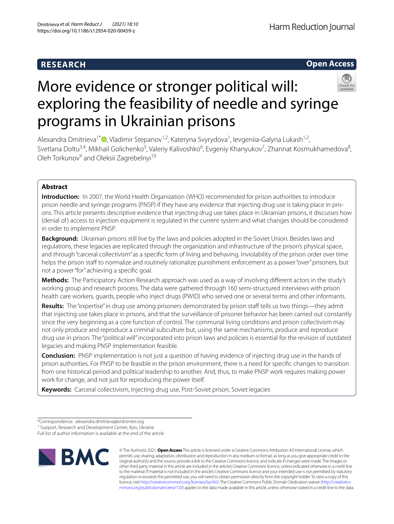# **RESEARCH**

## **Open Access**



# More evidence or stronger political will: exploring the feasibility of needle and syringe programs in Ukrainian prisons

Alexandra Dmitrieva<sup>1[\\*](http://orcid.org/0000-0002-0263-7801)</sup> <sup>(@</sup>, Vladimir Stepanov<sup>1,2</sup>, Kateryna Svyrydova<sup>1</sup>, Ievgeniia-Galyna Lukash<sup>1,2</sup>, Svetlana Doltu<sup>3,4</sup>, Mikhail Golichenko<sup>5</sup>, Valeriy Kalivoshko<sup>6</sup>, Evgeniy Khanyukov<sup>7</sup>, Zhannat Kosmukhamedova<sup>8</sup>, Oleh Torkunov<sup>9</sup> and Oleksii Zagrebelnyi<sup>10</sup>

### **Abstract**

**Introduction:** In 2007, the World Health Organization (WHO) recommended for prison authorities to introduce prison needle and syringe programs (PNSP) if they have any evidence that injecting drug use is taking place in prisons. This article presents descriptive evidence that injecting drug use takes place in Ukrainian prisons, it discusses how (denial of) access to injection equipment is regulated in the current system and what changes should be considered in order to implement PNSP.

**Background:** Ukrainian prisons still live by the laws and policies adopted in the Soviet Union. Besides laws and regulations, these legacies are replicated through the organization and infrastructure of the prison's physical space, and through "carceral collectivism" as a specifc form of living and behaving. Inviolability of the prison order over time helps the prison staff to normalize and routinely rationalize punishment enforcement as a power "over" prisoners, but not a power "for" achieving a specifc goal.

**Methods:** The Participatory Action Research approach was used as a way of involving diferent actors in the study's working group and research process. The data were gathered through 160 semi-structured interviews with prison health care workers, guards, people who inject drugs (PWID) who served one or several terms and other informants.

Results: The "expertise" in drug use among prisoners demonstrated by prison staff tells us two things—they admit that injecting use takes place in prisons, and that the surveillance of prisoner behavior has been carried out constantly since the very beginning as a core function of control. The communal living conditions and prison collectivism may not only produce and reproduce a criminal subculture but, using the same mechanisms, produce and reproduce drug use in prison. The "political will" incorporated into prison laws and policies is essential for the revision of outdated legacies and making PNSP implementation feasible.

**Conclusion:** PNSP implementation is not just a question of having evidence of injecting drug use in the hands of prison authorities. For PNSP to be feasible in the prison environment, there is a need for specifc changes to transition from one historical period and political leadership to another. And, thus, to make PNSP work requires making power work for change, and not just for reproducing the power itself.

**Keywords:** Carceral collectivism, Injecting drug use, Post-Soviet prison, Soviet legacies

Full list of author information is available at the end of the article



© The Author(s) 2021. **Open Access** This article is licensed under a Creative Commons Attribution 4.0 International License, which permits use, sharing, adaptation, distribution and reproduction in any medium or format, as long as you give appropriate credit to the original author(s) and the source, provide a link to the Creative Commons licence, and indicate if changes were made. The images or other third party material in this article are included in the article's Creative Commons licence, unless indicated otherwise in a credit line to the material. If material is not included in the article's Creative Commons licence and your intended use is not permitted by statutory regulation or exceeds the permitted use, you will need to obtain permission directly from the copyright holder. To view a copy of this licence, visit [http://creativecommons.org/licenses/by/4.0/.](http://creativecommons.org/licenses/by/4.0/) The Creative Commons Public Domain Dedication waiver ([http://creativeco](http://creativecommons.org/publicdomain/zero/1.0/) [mmons.org/publicdomain/zero/1.0/](http://creativecommons.org/publicdomain/zero/1.0/)) applies to the data made available in this article, unless otherwise stated in a credit line to the data.

<sup>\*</sup>Correspondence: alexandra.dmitrieva@srdcenter.org

<sup>&</sup>lt;sup>1</sup> Support, Research and Development Center, Kyiv, Ukraine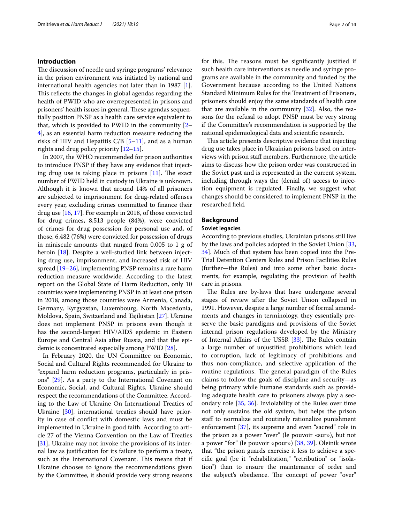#### **Introduction**

The discussion of needle and syringe programs' relevance in the prison environment was initiated by national and international health agencies not later than in 1987 [\[1](#page-11-0)]. This reflects the changes in global agendas regarding the health of PWID who are overrepresented in prisons and prisoners' health issues in general. These agendas sequentially position PNSP as a health care service equivalent to that, which is provided to PWID in the community [[2–](#page-11-1) [4\]](#page-11-2), as an essential harm reduction measure reducing the risks of HIV and Hepatitis C/B  $[5-11]$  $[5-11]$ , and as a human rights and drug policy priority [\[12](#page-11-5)[–15](#page-12-0)].

In 2007, the WHO recommended for prison authorities to introduce PNSP if they have any evidence that injecting drug use is taking place in prisons  $[11]$  $[11]$ . The exact number of PWID held in custody in Ukraine is unknown. Although it is known that around 14% of all prisoners are subjected to imprisonment for drug-related ofenses every year, excluding crimes committed to fnance their drug use [\[16](#page-12-1), [17](#page-12-2)]. For example in 2018, of those convicted for drug crimes, 8,513 people (84%), were convicted of crimes for drug possession for personal use and, of those, 6,482 (76%) were convicted for possession of drugs in miniscule amounts that ranged from 0.005 to 1 g of heroin [\[18](#page-12-3)]. Despite a well-studied link between injecting drug use, imprisonment, and increased risk of HIV spread [\[19](#page-12-4)[–26\]](#page-12-5), implementing PNSP remains a rare harm reduction measure worldwide. According to the latest report on the Global State of Harm Reduction, only 10 countries were implementing PNSP in at least one prison in 2018, among those countries were Armenia, Canada, Germany, Kyrgyzstan, Luxembourg, North Macedonia, Moldova, Spain, Switzerland and Tajikistan [[27\]](#page-12-6). Ukraine does not implement PNSP in prisons even though it has the second-largest HIV/AIDS epidemic in Eastern Europe and Central Asia after Russia, and that the epidemic is concentrated especially among PWID [[28](#page-12-7)].

In February 2020, the UN Committee on Economic, Social and Cultural Rights recommended for Ukraine to "expand harm reduction programs, particularly in prisons" [[29\]](#page-12-8). As a party to the International Covenant on Economic, Social, and Cultural Rights, Ukraine should respect the recommendations of the Committee. According to the Law of Ukraine On International Treaties of Ukraine [[30\]](#page-12-9), international treaties should have priority in case of confict with domestic laws and must be implemented in Ukraine in good faith. According to article 27 of the Vienna Convention on the Law of Treaties [[31\]](#page-12-10), Ukraine may not invoke the provisions of its internal law as justifcation for its failure to perform a treaty, such as the International Covenant. This means that if Ukraine chooses to ignore the recommendations given by the Committee, it should provide very strong reasons for this. The reasons must be significantly justified if such health care interventions as needle and syringe programs are available in the community and funded by the Government because according to the United Nations Standard Minimum Rules for the Treatment of Prisoners, prisoners should enjoy the same standards of health care that are available in the community  $[32]$  $[32]$ . Also, the reasons for the refusal to adopt PNSP must be very strong if the Committee's recommendation is supported by the national epidemiological data and scientifc research.

This article presents descriptive evidence that injecting drug use takes place in Ukrainian prisons based on interviews with prison staf members. Furthermore, the article aims to discuss how the prison order was constructed in the Soviet past and is represented in the current system, including through ways the (denial of) access to injection equipment is regulated. Finally, we suggest what changes should be considered to implement PNSP in the researched feld.

#### **Background**

#### **Soviet legacies**

According to previous studies, Ukrainian prisons still live by the laws and policies adopted in the Soviet Union [[33](#page-12-12), [34\]](#page-12-13). Much of that system has been copied into the Pre-Trial Detention Centers Rules and Prison Facilities Rules (further—the Rules) and into some other basic documents, for example, regulating the provision of health care in prisons.

The Rules are by-laws that have undergone several stages of review after the Soviet Union collapsed in 1991. However, despite a large number of formal amendments and changes in terminology, they essentially preserve the basic paradigms and provisions of the Soviet internal prison regulations developed by the Ministry of Internal Affairs of the USSR  $[33]$  $[33]$ . The Rules contain a large number of unjustifed prohibitions which lead to corruption, lack of legitimacy of prohibitions and thus non-compliance, and selective application of the routine regulations. The general paradigm of the Rules claims to follow the goals of discipline and security—as being primary while humane standards such as providing adequate health care to prisoners always play a secondary role [\[35](#page-12-14), [36\]](#page-12-15). Inviolability of the Rules over time not only sustains the old system, but helps the prison staff to normalize and routinely rationalize punishment enforcement [\[37\]](#page-12-16), its supreme and even "sacred" role in the prison as a power "over" (le pouvoir «sur»), but not a power "for" (le pouvoir «pour») [\[38,](#page-12-17) [39\]](#page-12-18). Oleinik wrote that "the prison guards exercise it less to achieve a specifc goal (be it "rehabilitation," "retribution" or "isolation") than to ensure the maintenance of order and the subject's obedience. The concept of power "over"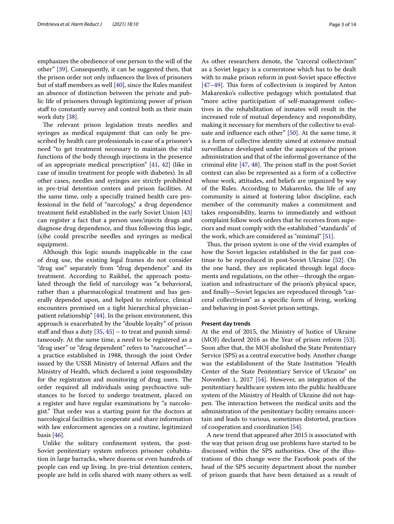emphasizes the obedience of one person to the will of the other" [[39\]](#page-12-18). Consequently, it can be suggested then, that the prison order not only infuences the lives of prisoners but of staff members as well  $[40]$  $[40]$ , since the Rules manifest an absence of distinction between the private and public life of prisoners through legitimizing power of prison staff to constantly survey and control both as their main work duty [[38](#page-12-17)].

The relevant prison legislation treats needles and syringes as medical equipment that can only be prescribed by health care professionals in case of a prisoner's need "to get treatment necessary to maintain the vital functions of the body through injections in the presence of an appropriate medical prescription" [[41,](#page-12-20) [42](#page-12-21)] (like in case of insulin treatment for people with diabetes). In all other cases, needles and syringes are strictly prohibited in pre-trial detention centers and prison facilities. At the same time, only a specially trained health care professional in the feld of "narcology," a drug dependence treatment feld established in the early Soviet Union [[43](#page-12-22)] can register a fact that a person uses/injects drugs and diagnose drug dependence, and thus following this logic, (s)he could prescribe needles and syringes as medical equipment.

Although this logic sounds inapplicable in the case of drug use, the existing legal frames do not consider "drug use" separately from "drug dependence" and its treatment. According to Raikhel, the approach postulated through the feld of narcology was "a behavioral, rather than a pharmacological treatment and has generally depended upon, and helped to reinforce, clinical encounters premised on a tight hierarchical physician– patient relationship" [\[44](#page-12-23)]. In the prison environment, this approach is exacerbated by the "double loyalty" of prison staff and thus a duty  $[35, 45]$  $[35, 45]$  $[35, 45]$  – to treat and punish simultaneously. At the same time, a need to be registered as a "drug user" or "drug dependent" refers to "narcouchet" a practice established in 1988, through the joint Order issued by the USSR Ministry of Internal Afairs and the Ministry of Health, which declared a joint responsibility for the registration and monitoring of drug users. The order required all individuals using psychoactive substances to be forced to undergo treatment, placed on a register and have regular examinations by "a narcologist." That order was a starting point for the doctors at narcological facilities to cooperate and share information with law enforcement agencies on a routine, legitimized basis  $[46]$  $[46]$ .

Unlike the solitary confnement system, the post-Soviet penitentiary system enforces prisoner cohabitation in large barracks, where dozens or even hundreds of people can end up living. In pre-trial detention centers, people are held in cells shared with many others as well. As other researchers denote, the "carceral collectivism" as a Soviet legacy is a cornerstone which has to be dealt with to make prison reform in post-Soviet space efective  $[47–49]$  $[47–49]$  $[47–49]$ . This form of collectivism is inspired by Anton Makarenko's collective pedagogy which postulated that "more active participation of self-management collectives in the rehabilitation of inmates will result in the increased role of mutual dependency and responsibility, making it necessary for members of the collective to evaluate and infuence each other" [[50\]](#page-12-28). At the same time, it is a form of collective identity aimed at extensive mutual surveillance developed under the auspices of the prison administration and that of the informal governance of the criminal elite  $[47, 48]$  $[47, 48]$  $[47, 48]$ . The prison staff in the post-Soviet context can also be represented as a form of a collective whose work, attitudes, and beliefs are organized by way of the Rules. According to Makarenko, the life of any community is aimed at fostering labor discipline, each member of the community makes a commitment and takes responsibility, learns to immediately and without complaint follow work orders that he receives from superiors and must comply with the established "standards" of the work, which are considered as "minimal" [\[51\]](#page-12-30).

Thus, the prison system is one of the vivid examples of how the Soviet legacies established in the far past continue to be reproduced in post-Soviet Ukraine [[52](#page-12-31)]. On the one hand, they are replicated through legal documents and regulations, on the other—through the organization and infrastructure of the prison's physical space, and fnally—Soviet legacies are reproduced through "carceral collectivism" as a specifc form of living, working and behaving in post-Soviet prison settings.

#### **Present day trends**

At the end of 2015, the Ministry of Justice of Ukraine (MOJ) declared 2016 as the Year of prison reform [\[53](#page-12-32)]. Soon after that, the MOJ abolished the State Penitentiary Service (SPS) as a central executive body. Another change was the establishment of the State Institution "Health Center of the State Penitentiary Service of Ukraine" on November 1, 2017 [[54](#page-12-33)]. However, an integration of the penitentiary healthcare system into the public healthcare system of the Ministry of Health of Ukraine did not happen. The interaction between the medical units and the administration of the penitentiary facility remains uncertain and leads to various, sometimes distorted, practices of cooperation and coordination [\[54](#page-12-33)].

A new trend that appeared after 2015 is associated with the way that prison drug use problems have started to be discussed within the SPS authorities. One of the illustrations of this change were the Facebook posts of the head of the SPS security department about the number of prison guards that have been detained as a result of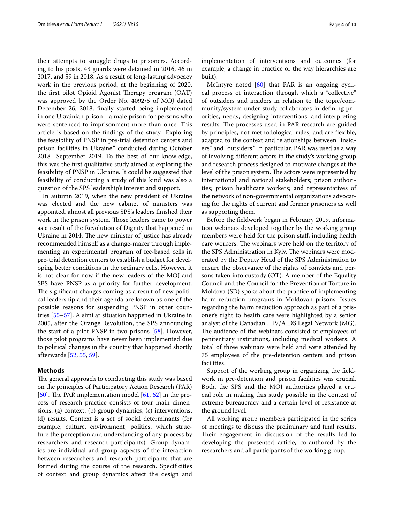their attempts to smuggle drugs to prisoners. According to his posts, 43 guards were detained in 2016, 46 in 2017, and 59 in 2018. As a result of long-lasting advocacy work in the previous period, at the beginning of 2020, the first pilot Opioid Agonist Therapy program (OAT) was approved by the Order No. 4092/5 of MOJ dated December 26, 2018, fnally started being implemented in one Ukrainian prison—a male prison for persons who were sentenced to imprisonment more than once. This article is based on the fndings of the study "Exploring the feasibility of PNSP in pre-trial detention centers and prison facilities in Ukraine," conducted during October 2018—September 2019. To the best of our knowledge, this was the frst qualitative study aimed at exploring the feasibility of PNSP in Ukraine. It could be suggested that feasibility of conducting a study of this kind was also a question of the SPS leadership's interest and support.

In autumn 2019, when the new president of Ukraine was elected and the new cabinet of ministers was appointed, almost all previous SPS's leaders fnished their work in the prison system. Those leaders came to power as a result of the Revolution of Dignity that happened in Ukraine in 2014. The new minister of justice has already recommended himself as a change-maker through implementing an experimental program of fee-based cells in pre-trial detention centers to establish a budget for developing better conditions in the ordinary cells. However, it is not clear for now if the new leaders of the MOJ and SPS have PNSP as a priority for further development. The significant changes coming as a result of new political leadership and their agenda are known as one of the possible reasons for suspending PNSP in other countries [[55](#page-12-34)[–57](#page-12-35)]. A similar situation happened in Ukraine in 2005, after the Orange Revolution, the SPS announcing the start of a pilot PNSP in two prisons [\[58\]](#page-12-36). However, those pilot programs have never been implemented due to political changes in the country that happened shortly afterwards [[52,](#page-12-31) [55,](#page-12-34) [59](#page-12-37)].

#### **Methods**

The general approach to conducting this study was based on the principles of Participatory Action Research (PAR) [[60\]](#page-12-38). The PAR implementation model  $[61, 62]$  $[61, 62]$  $[61, 62]$  in the process of research practice consists of four main dimensions: (a) context, (b) group dynamics, (c) interventions, (d) results. Context is a set of social determinants (for example, culture, environment, politics, which structure the perception and understanding of any process by researchers and research participants). Group dynamics are individual and group aspects of the interaction between researchers and research participants that are formed during the course of the research. Specifcities of context and group dynamics afect the design and implementation of interventions and outcomes (for example, a change in practice or the way hierarchies are built).

McIntyre noted  $[60]$  that PAR is an ongoing cyclical process of interaction through which a "collective" of outsiders and insiders in relation to the topic/community/system under study collaborates in defning priorities, needs, designing interventions, and interpreting results. The processes used in PAR research are guided by principles, not methodological rules, and are fexible, adapted to the context and relationships between "insiders" and "outsiders." In particular, PAR was used as a way of involving diferent actors in the study's working group and research process designed to motivate changes at the level of the prison system. The actors were represented by international and national stakeholders; prison authorities; prison healthcare workers; and representatives of the network of non-governmental organizations advocating for the rights of current and former prisoners as well as supporting them.

Before the feldwork began in February 2019, information webinars developed together by the working group members were held for the prison staf, including health care workers. The webinars were held on the territory of the SPS Administration in Kyiv. The webinars were moderated by the Deputy Head of the SPS Administration to ensure the observance of the rights of convicts and persons taken into custody (OT). A member of the Equality Council and the Council for the Prevention of Torture in Moldova (SD) spoke about the practice of implementing harm reduction programs in Moldovan prisons. Issues regarding the harm reduction approach as part of a prisoner's right to health care were highlighted by a senior analyst of the Canadian HIV/AIDS Legal Network (MG). The audience of the webinars consisted of employees of penitentiary institutions, including medical workers. A total of three webinars were held and were attended by 75 employees of the pre-detention centers and prison facilities.

Support of the working group in organizing the feldwork in pre-detention and prison facilities was crucial. Both, the SPS and the MOJ authorities played a crucial role in making this study possible in the context of extreme bureaucracy and a certain level of resistance at the ground level.

All working group members participated in the series of meetings to discuss the preliminary and fnal results. Their engagement in discussion of the results led to developing the presented article, co-authored by the researchers and all participants of the working group.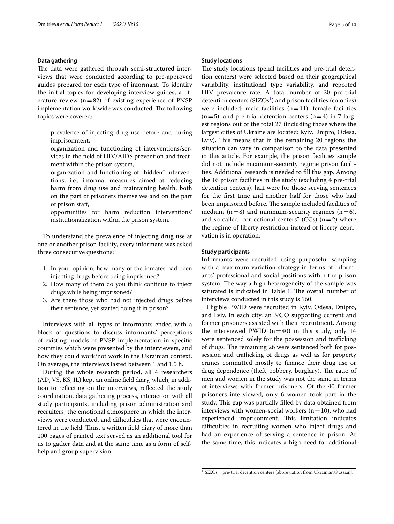#### **Data gathering**

The data were gathered through semi-structured interviews that were conducted according to pre-approved guides prepared for each type of informant. To identify the initial topics for developing interview guides, a literature review  $(n=82)$  of existing experience of PNSP implementation worldwide was conducted. The following topics were covered:

- prevalence of injecting drug use before and during imprisonment,
- organization and functioning of interventions/services in the feld of HIV/AIDS prevention and treatment within the prison system,
- organization and functioning of "hidden" interventions, i.e., informal measures aimed at reducing harm from drug use and maintaining health, both on the part of prisoners themselves and on the part of prison staf,

opportunities for harm reduction interventions' institutionalization within the prison system.

To understand the prevalence of injecting drug use at one or another prison facility, every informant was asked three consecutive questions:

- 1. In your opinion, how many of the inmates had been injecting drugs before being imprisoned?
- 2. How many of them do you think continue to inject drugs while being imprisoned?
- 3. Are there those who had not injected drugs before their sentence, yet started doing it in prison?

Interviews with all types of informants ended with a block of questions to discuss informants' perceptions of existing models of PNSP implementation in specifc countries which were presented by the interviewers, and how they could work/not work in the Ukrainian context. On average, the interviews lasted between 1 and 1.5 h.

During the whole research period, all 4 researchers (AD, VS, KS, IL) kept an online feld diary, which, in addition to refecting on the interviews, refected the study coordination, data gathering process, interaction with all study participants, including prison administration and recruiters, the emotional atmosphere in which the interviews were conducted, and difficulties that were encountered in the field. Thus, a written field diary of more than 100 pages of printed text served as an additional tool for us to gather data and at the same time as a form of selfhelp and group supervision.

#### **Study locations**

The study locations (penal facilities and pre-trial detention centers) were selected based on their geographical variability, institutional type variability, and reported HIV prevalence rate. A total number of 20 pre-trial detention centers  $(SIZOs<sup>1</sup>)$  $(SIZOs<sup>1</sup>)$  $(SIZOs<sup>1</sup>)$  and prison facilities (colonies) were included: male facilities  $(n=11)$ , female facilities  $(n=5)$ , and pre-trial detention centers  $(n=4)$  in 7 largest regions out of the total 27 (including those where the largest cities of Ukraine are located: Kyiv, Dnipro, Odesa, Lviv). This means that in the remaining 20 regions the situation can vary in comparison to the data presented in this article. For example, the prison facilities sample did not include maximum-security regime prison facilities. Additional research is needed to fll this gap. Among the 16 prison facilities in the study (excluding 4 pre-trial detention centers), half were for those serving sentences for the frst time and another half for those who had been imprisoned before. The sample included facilities of medium  $(n=8)$  and minimum-security regimes  $(n=6)$ , and so-called "correctional centers" (CCs)  $(n=2)$  where the regime of liberty restriction instead of liberty deprivation is in operation.

#### **Study participants**

Informants were recruited using purposeful sampling with a maximum variation strategy in terms of informants' professional and social positions within the prison system. The way a high heterogeneity of the sample was saturated is indicated in Table [1](#page-5-0). The overall number of interviews conducted in this study is 160.

Eligible PWID were recruited in Kyiv, Odesa, Dnipro, and Lviv. In each city, an NGO supporting current and former prisoners assisted with their recruitment. Among the interviewed PWID  $(n=40)$  in this study, only 14 were sentenced solely for the possession and trafficking of drugs. The remaining 26 were sentenced both for possession and trafficking of drugs as well as for property crimes committed mostly to fnance their drug use or drug dependence (theft, robbery, burglary). The ratio of men and women in the study was not the same in terms of interviews with former prisoners. Of the 40 former prisoners interviewed, only 6 women took part in the study. This gap was partially filled by data obtained from interviews with women-social workers  $(n=10)$ , who had experienced imprisonment. This limitation indicates difficulties in recruiting women who inject drugs and had an experience of serving a sentence in prison. At the same time, this indicates a high need for additional

<span id="page-4-0"></span> $1$  SIZOs = pre-trial detention centers [abbreviation from Ukrainian/Russian].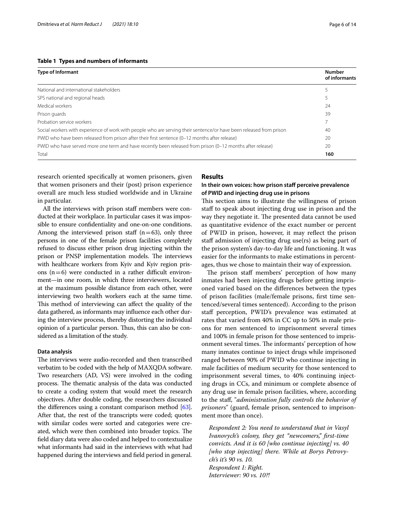#### <span id="page-5-0"></span>**Table 1 Types and numbers of informants**

| <b>Type of Informant</b>                                                                                            | <b>Number</b><br>of informants |
|---------------------------------------------------------------------------------------------------------------------|--------------------------------|
| National and international stakeholders                                                                             |                                |
| SPS national and regional heads                                                                                     |                                |
| Medical workers                                                                                                     | 24                             |
| Prison quards                                                                                                       | 39                             |
| Probation service workers                                                                                           |                                |
| Social workers with experience of work with people who are serving their sentence/or have been released from prison | 40                             |
| PWID who have been released from prison after their first sentence (0-12 months after release)                      | 20                             |
| PWID who have served more one term and have recently been released from prison (0-12 months after release)          | 20                             |
| Total                                                                                                               | 160                            |

research oriented specifcally at women prisoners, given that women prisoners and their (post) prison experience overall are much less studied worldwide and in Ukraine in particular.

All the interviews with prison staff members were conducted at their workplace. In particular cases it was impossible to ensure confdentiality and one-on-one conditions. Among the interviewed prison staff  $(n=63)$ , only three persons in one of the female prison facilities completely refused to discuss either prison drug injecting within the prison or PNSP implementation models. The interviews with healthcare workers from Kyiv and Kyiv region prisons  $(n=6)$  were conducted in a rather difficult environment—in one room, in which three interviewers, located at the maximum possible distance from each other, were interviewing two health workers each at the same time. This method of interviewing can affect the quality of the data gathered, as informants may infuence each other during the interview process, thereby distorting the individual opinion of a particular person. Thus, this can also be considered as a limitation of the study.

#### **Data analysis**

The interviews were audio-recorded and then transcribed verbatim to be coded with the help of MAXQDA software. Two researchers (AD, VS) were involved in the coding process. The thematic analysis of the data was conducted to create a coding system that would meet the research objectives. After double coding, the researchers discussed the diferences using a constant comparison method [[63](#page-12-41)]. After that, the rest of the transcripts were coded; quotes with similar codes were sorted and categories were created, which were then combined into broader topics. The feld diary data were also coded and helped to contextualize what informants had said in the interviews with what had happened during the interviews and feld period in general.

#### **Results**

#### **In their own voices: how prison staf perceive prevalence of PWID and injecting drug use in prisons**

This section aims to illustrate the willingness of prison staff to speak about injecting drug use in prison and the way they negotiate it. The presented data cannot be used as quantitative evidence of the exact number or percent of PWID in prison, however, it may refect the prison staff admission of injecting drug use(rs) as being part of the prison system's day-to-day life and functioning. It was easier for the informants to make estimations in percentages, thus we chose to maintain their way of expression.

The prison staff members' perception of how many inmates had been injecting drugs before getting imprisoned varied based on the diferences between the types of prison facilities (male/female prisons, frst time sentenced/several times sentenced). According to the prison staff perception, PWID's prevalence was estimated at rates that varied from 40% in CC up to 50% in male prisons for men sentenced to imprisonment several times and 100% in female prison for those sentenced to imprisonment several times. The informants' perception of how many inmates continue to inject drugs while imprisoned ranged between 90% of PWID who continue injecting in male facilities of medium security for those sentenced to imprisonment several times, to 40% continuing injecting drugs in CCs, and minimum or complete absence of any drug use in female prison facilities, where, according to the staf, "*administration fully controls the behavior of prisoners*" (guard, female prison, sentenced to imprisonment more than once).

*Respondent 2: You need to understand that in Vasyl Ivanovych's colony, they get "newcomers," frst-time convicts. And it is 60 [who continue injecting] vs. 40 [who stop injecting] there. While at Borys Petrovych's it's 90 vs. 10. Respondent 1: Right. Interviewer: 90 vs. 10?!*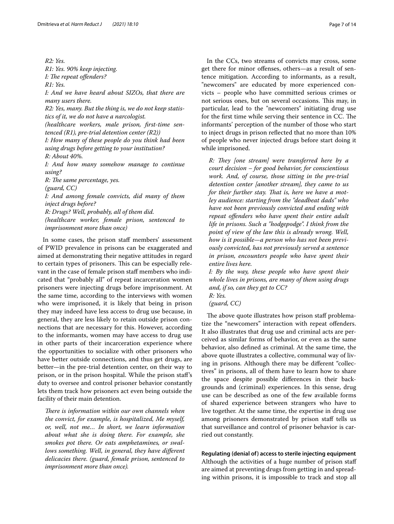*R2: Yes. R1: Yes. 90% keep injecting. I: The repeat offenders? R1: Yes. I: And we have heard about SIZOs, that there are many users there. R2: Yes, many. But the thing is, we do not keep statistics of it, we do not have a narcologist. (healthcare workers, male prison, frst-time sentenced (R1), pre-trial detention center (R2)) I: How many of these people do you think had been using drugs before getting to your institution? R: About 40%. I: And how many somehow manage to continue using? R: The same percentage, yes. (guard, CC) I: And among female convicts, did many of them inject drugs before? R: Drugs? Well, probably, all of them did. (healthcare worker, female prison, sentenced to imprisonment more than once)*

In some cases, the prison staff members' assessment of PWID prevalence in prisons can be exaggerated and aimed at demonstrating their negative attitudes in regard to certain types of prisoners. This can be especially relevant in the case of female prison staf members who indicated that "probably all" of repeat incarceration women prisoners were injecting drugs before imprisonment. At the same time, according to the interviews with women who were imprisoned, it is likely that being in prison they may indeed have less access to drug use because, in general, they are less likely to retain outside prison connections that are necessary for this. However, according to the informants, women may have access to drug use in other parts of their incarceration experience where the opportunities to socialize with other prisoners who have better outside connections, and thus get drugs, are better—in the pre-trial detention center, on their way to prison, or in the prison hospital. While the prison staf's duty to oversee and control prisoner behavior constantly lets them track how prisoners act even being outside the facility of their main detention.

*There is information within our own channels when the convict, for example, is hospitalized, Me myself, or, well, not me… In short, we learn information about what she is doing there. For example, she smokes pot there. Or eats amphetamines, or swallows something. Well, in general, they have diferent delicacies there. (guard, female prison, sentenced to imprisonment more than once).*

In the CCs, two streams of convicts may cross, some get there for minor ofenses, others—as a result of sentence mitigation. According to informants, as a result, "newcomers" are educated by more experienced convicts – people who have committed serious crimes or not serious ones, but on several occasions. This may, in particular, lead to the "newcomers" initiating drug use for the first time while serving their sentence in CC. The informants' perception of the number of those who start to inject drugs in prison refected that no more than 10% of people who never injected drugs before start doing it while imprisoned.

*R: They [one stream] were transferred here by a court decision – for good behavior, for conscientious work. And, of course, those sitting in the pre-trial detention center [another stream], they came to us*  for their further stay. That is, here we have a mot*ley audience: starting from the "deadbeat dads" who have not been previously convicted and ending with repeat ofenders who have spent their entire adult life in prisons. Such a "hodgepodge". I think from the point of view of the law this is already wrong. Well, how is it possible—a person who has not been previously convicted, has not previously served a sentence in prison, encounters people who have spent their entire lives here.*

*I: By the way, these people who have spent their whole lives in prisons, are many of them using drugs and, if so, can they get to CC? R: Yes. (guard, CC)*

The above quote illustrates how prison staff problematize the "newcomers" interaction with repeat ofenders. It also illustrates that drug use and criminal acts are perceived as similar forms of behavior, or even as the same behavior, also defned as criminal. At the same time, the above quote illustrates a collective, communal way of living in prisons. Although there may be diferent "collectives" in prisons, all of them have to learn how to share the space despite possible diferences in their backgrounds and (criminal) experiences. In this sense, drug use can be described as one of the few available forms of shared experience between strangers who have to live together. At the same time, the expertise in drug use among prisoners demonstrated by prison staff tells us that surveillance and control of prisoner behavior is carried out constantly.

# **Regulating (denial of) access to sterile injecting equipment**

Although the activities of a huge number of prison staf are aimed at preventing drugs from getting in and spreading within prisons, it is impossible to track and stop all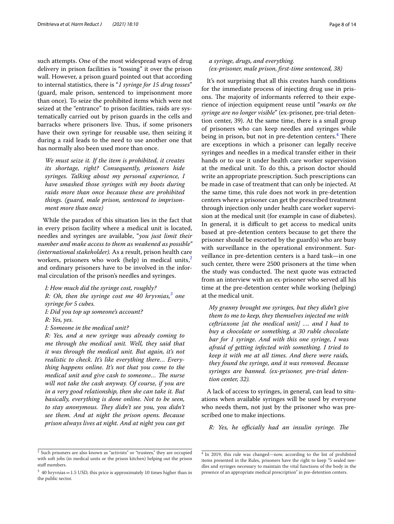such attempts. One of the most widespread ways of drug delivery in prison facilities is "tossing" it over the prison wall. However, a prison guard pointed out that according to internal statistics, there is "*1 syringe for 15 drug tosses*" (guard, male prison, sentenced to imprisonment more than once)*.* To seize the prohibited items which were not seized at the "entrance" to prison facilities, raids are systematically carried out by prison guards in the cells and barracks where prisoners live. Thus, if some prisoners have their own syringe for reusable use, then seizing it during a raid leads to the need to use another one that has normally also been used more than once.

*We must seize it. If the item is prohibited, it creates its shortage, right? Consequently, prisoners hide syringes. Talking about my personal experience, I have smashed those syringes with my boots during raids more than once because these are prohibited things. (guard, male prison, sentenced to imprisonment more than once)*

While the paradox of this situation lies in the fact that in every prison facility where a medical unit is located, needles and syringes are available, "*you just limit their number and make access to them as weakened as possible" (international stakeholder).* As a result, prison health care workers, prisoners who work (help) in medical units, $\lambda$ and ordinary prisoners have to be involved in the informal circulation of the prison's needles and syringes.

*I: How much did the syringe cost, roughly? R: Oh, then the syringe cost me 40 hryvnias,[3](#page-7-1) one syringe for 5 cubes. I: Did you top up someone's account?*

*R: Yes, yes.*

*I: Someone in the medical unit?*

*R: Yes, and a new syringe was already coming to me through the medical unit. Well, they said that it was through the medical unit. But again, it's not realistic to check. It's like everything there… Everything happens online. It's not that you come to the medical unit and give cash to someone... The nurse will not take the cash anyway. Of course, if you are in a very good relationship, then she can take it. But basically, everything is done online. Not to be seen,*  to stay anonymous. They didn't see you, you didn't *see them. And at night the prison opens. Because prison always lives at night. And at night you can get* 

#### *a syringe, drugs, and everything. (ex-prisoner, male prison, frst-time sentenced, 38)*

It's not surprising that all this creates harsh conditions for the immediate process of injecting drug use in prisons. The majority of informants referred to their experience of injection equipment reuse until "*marks on the syringe are no longer visible*" (ex-prisoner, pre-trial detention center, 39). At the same time, there is a small group of prisoners who can keep needles and syringes while being in prison, but not in pre-detention centers.<sup>[4](#page-7-2)</sup> There are exceptions in which a prisoner can legally receive syringes and needles in a medical transfer either in their hands or to use it under health care worker supervision at the medical unit. To do this, a prison doctor should write an appropriate prescription. Such prescriptions can be made in case of treatment that can only be injected. At the same time, this rule does not work in pre-detention centers where a prisoner can get the prescribed treatment through injection only under health care worker supervision at the medical unit (for example in case of diabetes). In general, it is difficult to get access to medical units based at pre-detention centers because to get there the prisoner should be escorted by the guard(s) who are busy with surveillance in the operational environment. Surveillance in pre-detention centers is a hard task—in one such center, there were 2500 prisoners at the time when the study was conducted. The next quote was extracted from an interview with an ex-prisoner who served all his time at the pre-detention center while working (helping) at the medical unit.

*My granny brought me syringes, but they didn't give them to me to keep, they themselves injected me with ceftriaxone [at the medical unit] …. and I had to buy a chocolate or something, a 30 ruble chocolate bar for 1 syringe. And with this one syringe, I was afraid of getting infected with something. I tried to keep it with me at all times. And there were raids, they found the syringe, and it was removed. Because syringes are banned. (ex-prisoner, pre-trial detention center, 32).*

A lack of access to syringes, in general, can lead to situations when available syringes will be used by everyone who needs them, not just by the prisoner who was prescribed one to make injections.

*R: Yes, he officially had an insulin syringe. The* 

<span id="page-7-0"></span><sup>&</sup>lt;sup>2</sup> Such prisoners are also known as "activists" or "trustees," they are occupied with soft jobs (in medical units or the prison kitchen) helping out the prison staff members.

<span id="page-7-1"></span> $3$  40 hryvnias = 1.5 USD, this price is approximately 10 times higher than in the public sector.

<span id="page-7-2"></span><sup>4</sup> In 2019, this rule was changed—now, according to the list of prohibited items presented in the Rules, prisoners have the right to keep "5 sealed needles and syringes necessary to maintain the vital functions of the body in the presence of an appropriate medical prescription" in pre-detention centers.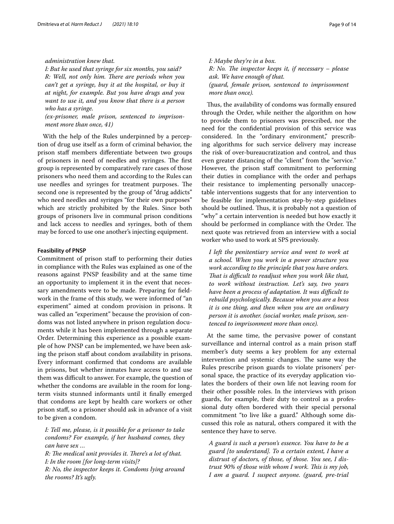#### *administration knew that.*

*I: But he used that syringe for six months, you said? R: Well, not only him. There are periods when you can't get a syringe, buy it at the hospital, or buy it at night, for example. But you have drugs and you want to use it, and you know that there is a person who has a syringe.*

*(ex-prisoner, male prison, sentenced to imprisonment more than once, 41)*

With the help of the Rules underpinned by a perception of drug use itself as a form of criminal behavior, the prison staf members diferentiate between two groups of prisoners in need of needles and syringes. The first group is represented by comparatively rare cases of those prisoners who need them and according to the Rules can use needles and syringes for treatment purposes. The second one is represented by the group of "drug addicts" who need needles and syringes "for their own purposes" which are strictly prohibited by the Rules. Since both groups of prisoners live in communal prison conditions and lack access to needles and syringes, both of them may be forced to use one another's injecting equipment.

#### **Feasibility of PNSP**

Commitment of prison staf to performing their duties in compliance with the Rules was explained as one of the reasons against PNSP feasibility and at the same time an opportunity to implement it in the event that necessary amendments were to be made. Preparing for feldwork in the frame of this study, we were informed of "an experiment" aimed at condom provision in prisons. It was called an "experiment" because the provision of condoms was not listed anywhere in prison regulation documents while it has been implemented through a separate Order. Determining this experience as a possible example of how PNSP can be implemented, we have been asking the prison staf about condom availability in prisons. Every informant confrmed that condoms are available in prisons, but whether inmates have access to and use them was difficult to answer. For example, the question of whether the condoms are available in the room for longterm visits stunned informants until it fnally emerged that condoms are kept by health care workers or other prison staf, so a prisoner should ask in advance of a visit to be given a condom.

*I: Tell me, please, is it possible for a prisoner to take condoms? For example, if her husband comes, they can have sex …*

*R: The medical unit provides it. There's a lot of that. I: In the room [for long-term visits]? R: No, the inspector keeps it. Condoms lying around the rooms? It's ugly.*

*I: Maybe they're in a box. R: No. The inspector keeps it, if necessary – please ask. We have enough of that. (guard, female prison, sentenced to imprisonment more than once).*

Thus, the availability of condoms was formally ensured through the Order, while neither the algorithm on how to provide them to prisoners was prescribed, nor the need for the confdential provision of this service was considered. In the "ordinary environment," prescribing algorithms for such service delivery may increase the risk of over-bureaucratization and control, and thus even greater distancing of the "client" from the "service." However, the prison staff commitment to performing their duties in compliance with the order and perhaps their resistance to implementing personally unacceptable interventions suggests that for any intervention to be feasible for implementation step-by-step guidelines should be outlined. Thus, it is probably not a question of "why" a certain intervention is needed but how exactly it should be performed in compliance with the Order. The next quote was retrieved from an interview with a social worker who used to work at SPS previously.

*I left the penitentiary service and went to work at a school. When you work in a power structure you work according to the principle that you have orders. Tat is difcult to readjust when you work like that, to work without instruction. Let's say, two years have been a process of adaptation. It was difcult to rebuild psychologically. Because when you are a boss it is one thing, and then when you are an ordinary person it is another. (social worker, male prison, sentenced to imprisonment more than once).*

At the same time, the pervasive power of constant surveillance and internal control as a main prison staff member's duty seems a key problem for any external intervention and systemic changes. The same way the Rules prescribe prison guards to violate prisoners' personal space, the practice of its everyday application violates the borders of their own life not leaving room for their other possible roles. In the interviews with prison guards, for example, their duty to control as a professional duty often bordered with their special personal commitment "to live like a guard." Although some discussed this role as natural, others compared it with the sentence they have to serve.

*A guard is such a person's essence. You have to be a guard [to understand]. To a certain extent, I have a distrust of doctors, of those, of those. You see, I distrust 90% of those with whom I work. Tis is my job, I am a guard. I suspect anyone. (guard, pre-trial*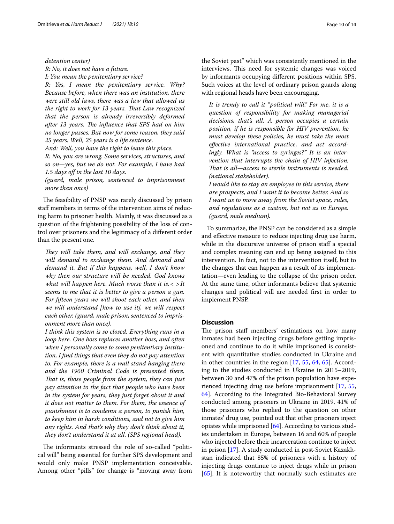*detention center)*

*R: No, it does not have a future.*

*I: You mean the penitentiary service?*

*R: Yes, I mean the penitentiary service. Why? Because before, when there was an institution, there were still old laws, there was a law that allowed us the right to work for 13 years. Tat Law recognized that the person is already irreversibly deformed after 13 years. The influence that SPS had on him no longer passes. But now for some reason, they said 25 years. Well, 25 years is a life sentence.*

*And: Well, you have the right to leave this place. R: No, you are wrong. Some services, structures, and so on—yes, but we do not. For example, I have had 1.5 days of in the last 10 days.*

*(guard, male prison, sentenced to imprisonment more than once)*

The feasibility of PNSP was rarely discussed by prison staff members in terms of the intervention aims of reducing harm to prisoner health. Mainly, it was discussed as a question of the frightening possibility of the loss of control over prisoners and the legitimacy of a diferent order than the present one.

*They will take them, and will exchange, and they will demand to exchange them. And demand and demand it. But if this happens, well, I don't know why then our structure will be needed. God knows what will happen here. Much worse than it is.< >It seems to me that it is better to give a person a gun. For ffteen years we will shoot each other, and then we will understand [how to use it], we will respect each other. (guard, male prison, sentenced to imprisonment more than once).*

*I think this system is so closed. Everything runs in a loop here. One boss replaces another boss, and often when I personally come to some penitentiary institution, I fnd things that even they do not pay attention to. For example, there is a wall stand hanging there and the 1960 Criminal Code is presented there. Tat is, those people from the system, they can just pay attention to the fact that people who have been in the system for years, they just forget about it and it does not matter to them. For them, the essence of punishment is to condemn a person, to punish him, to keep him in harsh conditions, and not to give him any rights. And that's why they don't think about it, they don't understand it at all. (SPS regional head).*

The informants stressed the role of so-called "political will" being essential for further SPS development and would only make PNSP implementation conceivable. Among other "pills" for change is "moving away from

the Soviet past" which was consistently mentioned in the interviews. This need for systemic changes was voiced by informants occupying diferent positions within SPS. Such voices at the level of ordinary prison guards along with regional heads have been encouraging.

*It is trendy to call it "political will." For me, it is a question of responsibility for making managerial decisions, that's all. A person occupies a certain position, if he is responsible for HIV prevention, he must develop these policies, he must take the most efective international practice, and act accordingly. What is "access to syringes?" It is an intervention that interrupts the chain of HIV infection. That is all—access to sterile instruments is needed. (national stakeholder).*

*I would like to stay an employee in this service, there are prospects, and I want it to become better. And so I want us to move away from the Soviet space, rules, and regulations as a custom, but not as in Europe. (guard, male medium).*

To summarize, the PNSP can be considered as a simple and efective measure to reduce injecting drug use harm, while in the discursive universe of prison staff a special and complex meaning can end up being assigned to this intervention. In fact, not to the intervention itself, but to the changes that can happen as a result of its implementation—even leading to the collapse of the prison order. At the same time, other informants believe that systemic changes and political will are needed frst in order to implement PNSP.

#### **Discussion**

The prison staff members' estimations on how many inmates had been injecting drugs before getting imprisoned and continue to do it while imprisoned is consistent with quantitative studies conducted in Ukraine and in other countries in the region [[17,](#page-12-2) [55,](#page-12-34) [64,](#page-12-42) [65\]](#page-12-43). According to the studies conducted in Ukraine in 2015–2019, between 30 and 47% of the prison population have experienced injecting drug use before imprisonment [\[17,](#page-12-2) [55](#page-12-34), [64\]](#page-12-42). According to the Integrated Bio-Behavioral Survey conducted among prisoners in Ukraine in 2019, 41% of those prisoners who replied to the question on other inmates' drug use, pointed out that other prisoners inject opiates while imprisoned [\[64](#page-12-42)]. According to various studies undertaken in Europe, between 16 and 60% of people who injected before their incarceration continue to inject in prison [\[17](#page-12-2)]. A study conducted in post-Soviet Kazakhstan indicated that 85% of prisoners with a history of injecting drugs continue to inject drugs while in prison [[65\]](#page-12-43). It is noteworthy that normally such estimates are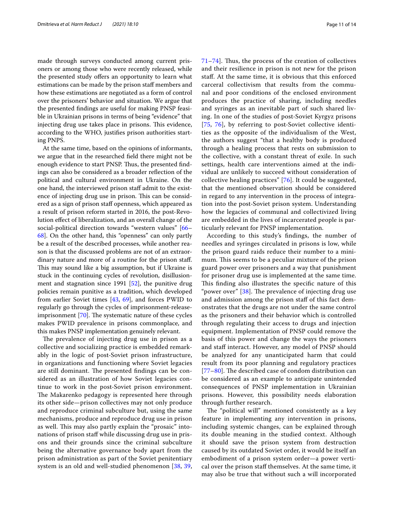made through surveys conducted among current prisoners or among those who were recently released, while the presented study offers an opportunity to learn what estimations can be made by the prison staf members and how these estimations are negotiated as a form of control over the prisoners' behavior and situation. We argue that the presented fndings are useful for making PNSP feasible in Ukrainian prisons in terms of being "evidence" that injecting drug use takes place in prisons. This evidence, according to the WHO, justifes prison authorities starting PNPS.

At the same time, based on the opinions of informants, we argue that in the researched feld there might not be enough evidence to start PNSP. Thus, the presented findings can also be considered as a broader refection of the political and cultural environment in Ukraine. On the one hand, the interviewed prison staf admit to the existence of injecting drug use in prison. This can be considered as a sign of prison staf openness, which appeared as a result of prison reform started in 2016, the post-Revolution efect of liberalization, and an overall change of the social-political direction towards "western values" [[66–](#page-12-44) [68\]](#page-12-45). On the other hand, this "openness" can only partly be a result of the described processes, while another reason is that the discussed problems are not of an extraordinary nature and more of a routine for the prison staf. This may sound like a big assumption, but if Ukraine is stuck in the continuing cycles of revolution, disillusionment and stagnation since 1991  $[52]$  $[52]$ , the punitive drug policies remain punitive as a tradition, which developed from earlier Soviet times [\[43](#page-12-22), [69](#page-12-46)], and forces PWID to regularly go through the cycles of imprisonment-releaseimprisonment  $[70]$  $[70]$ . The systematic nature of these cycles makes PWID prevalence in prisons commonplace, and this makes PNSP implementation genuinely relevant.

The prevalence of injecting drug use in prison as a collective and socializing practice is embedded remarkably in the logic of post-Soviet prison infrastructure, in organizations and functioning where Soviet legacies are still dominant. The presented findings can be considered as an illustration of how Soviet legacies continue to work in the post-Soviet prison environment. The Makarenko pedagogy is represented here through its other side—prison collectives may not only produce and reproduce criminal subculture but, using the same mechanisms, produce and reproduce drug use in prison as well. This may also partly explain the "prosaic" intonations of prison staf while discussing drug use in prisons and their grounds since the criminal subculture being the alternative governance body apart from the prison administration as part of the Soviet penitentiary system is an old and well-studied phenomenon [[38,](#page-12-17) [39](#page-12-18),  $71-74$  $71-74$ . Thus, the process of the creation of collectives and their resilience in prison is not new for the prison staf. At the same time, it is obvious that this enforced carceral collectivism that results from the communal and poor conditions of the enclosed environment produces the practice of sharing, including needles and syringes as an inevitable part of such shared living. In one of the studies of post-Soviet Kyrgyz prisons [[75](#page-13-2), [76](#page-13-3)], by referring to post-Soviet collective identities as the opposite of the individualism of the West, the authors suggest "that a healthy body is produced through a healing process that rests on submission to the collective, with a constant threat of exile. In such settings, health care interventions aimed at the individual are unlikely to succeed without consideration of collective healing practices" [\[76\]](#page-13-3). It could be suggested, that the mentioned observation should be considered in regard to any intervention in the process of integration into the post-Soviet prison system. Understanding how the legacies of communal and collectivized living are embedded in the lives of incarcerated people is particularly relevant for PNSP implementation.

According to this study's fndings, the number of needles and syringes circulated in prisons is low, while the prison guard raids reduce their number to a minimum. This seems to be a peculiar mixture of the prison guard power over prisoners and a way that punishment for prisoner drug use is implemented at the same time. This finding also illustrates the specific nature of this "power over"  $[38]$  $[38]$ . The prevalence of injecting drug use and admission among the prison staf of this fact demonstrates that the drugs are not under the same control as the prisoners and their behavior which is controlled through regulating their access to drugs and injection equipment. Implementation of PNSP could remove the basis of this power and change the ways the prisoners and staff interact. However, any model of PNSP should be analyzed for any unanticipated harm that could result from its poor planning and regulatory practices  $[77–80]$  $[77–80]$  $[77–80]$  $[77–80]$ . The described case of condom distribution can be considered as an example to anticipate unintended consequences of PNSP implementation in Ukrainian prisons. However, this possibility needs elaboration through further research.

The "political will" mentioned consistently as a key feature in implementing any intervention in prisons, including systemic changes, can be explained through its double meaning in the studied context. Although it should save the prison system from destruction caused by its outdated Soviet order, it would be itself an embodiment of a prison system order—a power vertical over the prison staf themselves. At the same time, it may also be true that without such a will incorporated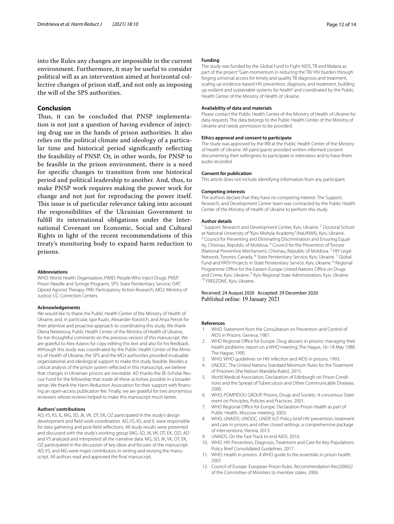into the Rules any changes are impossible in the current environment. Furthermore, it may be useful to consider political will as an intervention aimed at horizontal collective changes of prison staf, and not only as imposing the will of the SPS authorities.

#### **Conclusion**

Thus, it can be concluded that PNSP implementation is not just a question of having evidence of injecting drug use in the hands of prison authorities. It also relies on the political climate and ideology of a particular time and historical period signifcantly refecting the feasibility of PNSP. Or, in other words, for PNSP to be feasible in the prison environment, there is a need for specifc changes to transition from one historical period and political leadership to another. And, thus, to make PNSP work requires making the power work for change and not just for reproducing the power itself. This issue is of particular relevance taking into account the responsibilities of the Ukrainian Government to fulfll its international obligations under the International Covenant on Economic, Social and Cultural Rights in light of the recent recommendations of this treaty's monitoring body to expand harm reduction to prisons.

#### **Abbreviations**

WHO: World Health Organization; PWID: People Who Inject Drugs; PNSP: Prison Needle and Syringe Programs; SPS: State Penitentiary Service; OAT: Opioid Agonist Therapy; PAR: Participatory Action Research; MOJ: Ministry of Justice; CC: Correction Centers.

#### **Acknowledgements**

We would like to thank the Public Health Center of the Ministry of Health of Ukraine, and, in particular, Igor Kuzin, Alexander Korotich, and Anya Petryk for their attentive and proactive approach to coordinating this study. We thank Olena Nesterova, Public Health Center of the Ministry of Health of Ukraine, for her thoughtful comments on the previous version of this manuscript. We are grateful to Alex Azarov for copy editing this text and also for his feedback. Although this study was coordinated by the Public Health Center of the Ministry of Health of Ukraine, the SPS and the MOJ authorities provided invaluable organizational and ideological support to make this study feasible. Besides a critical analysis of the prison system refected in this manuscript, we believe that changes in Ukrainian prisons are inevitable. AD thanks the IIE-Scholar Rescue Fund for the fellowship that made all these activities possible in a broader sense. We thank the Harm Reduction Association for their support with financing an open‐access publication fee. Finally, we are grateful for two anonymous reviewers whose reviews helped to make this manuscript much better.

#### **Authors' contributions**

AD, VS, KS, IL, MG, SD, JK, VK, OT, EK, OZ participated in the study's design development and feld work coordination. AD, VS, KS, and IL were responsible for data gathering and post-feld refections. All study results were presented and discussed with the study's working group (MG, SD, JK, VK, OT, EK, OZ). AD and VS analyzed and interpreted all the narrative data. MG, SD, JK, VK, OT, EK, OZ participated in the discussion of key ideas and focuses of the manuscript. AD, VS, and MG were major contributors in writing and revising the manuscript. All authors read and approved the fnal manuscript.

#### **Funding**

The study was funded by the Global Fund to Fight AIDS, TB and Malaria as part of the project "Gain momentum in reducing the TB/ HIV burden through forging universal access for timely and quality TB diagnosis and treatment, scaling up evidence-based HIV prevention, diagnosis, and treatment, building up resilient and sustainable systems for health" and coordinated by the Public Health Center of the Ministry of Health of Ukraine.

#### **Availability of data and materials**

Please contact the Public Health Center of the Ministry of Health of Ukraine for data requests. The data belongs to the Public Health Center of the Ministry of Ukraine and needs permission to be provided.

#### **Ethics approval and consent to participate**

The study was approved by the IRB at the Public Health Center of the Ministry of Health of Ukraine. All participants provided written informed consent documenting their willingness to participate in interviews and to have them audio recorded.

#### **Consent for publication**

This article does not include identifying information from any participant.

#### **Competing interests**

The authors declare that they have no competing interest. The Support, Research, and Development Center team was contracted by the Public Health Center of the Ministry of Health of Ukraine to perform this study.

#### **Author details**

<sup>1</sup> Support, Research and Development Center, Kyiv, Ukraine. <sup>2</sup> Doctoral School at National University of "Kyiv-Mohyla Academy" (NaUKMA), Kyiv, Ukraine.<br><sup>3</sup> Council for Preventing and Eliminating Discrimination and Ensuring Equality, Chisinau, Republic of Moldova. <sup>4</sup> Council for the Prevention of Torture (National Preventive Mechanism), Chisinau, Republic of Moldova. 5 HIV Legal Network, Toronto, Canada. 6 State Penitentiary Service, Kyiv, Ukraine. 7 Global Fund and PATH Projects in State Penitentiary Service, Kyiv, Ukraine. <sup>8</sup> Regional Programme Office for the Eastern Europe United Nations Office on Drugs and Crime, Kyiv, Ukraine. <sup>9</sup> Kyiv Regional State Administration, Kyiv, Ukraine.<br><sup>10</sup> FREEZONE, Kyiv, Ukraine.

# Received: 24 August 2020 Accepted: 29 December 2020

#### **References**

- <span id="page-11-0"></span>WHO. Statement from the Consultation on Prevention and Control of AIDS in Prisons. Geneva; 1987.
- <span id="page-11-1"></span>WHO Regional Office for Europe. Drug abusers in prisons: managing their health problems: report on a WHO meeting, The Hague, 16–18 May 1988. The Hague; 1990.
- WHO. WHO guidelines on HIV infection and AIDS in prisons. 1993.
- <span id="page-11-2"></span>4. UNODC. The United Nations Standard Minimum Rules for the Treatment of Prisoners (the Nelson Mandela Rules). 2015.
- <span id="page-11-3"></span>5. World Medical Association. Declaration of Edinburgh on Prison Conditions and the Spread of Tuberculosis and Other Communicable Diseases. 2000.
- 6. WHO, POMPIDOU GROUP. Prisons, Drugs and Society: A concensus Statement on Principles, Policies and Practices. 2001.
- 7. WHO Regional Office for Europe. Declaration Prison Health as part of Public Health. Moscow meeting. 2003.
- 8. WHO, UNAIDS, UNODC, UNDP, ILO. Policy brief HIV prevention, treatment and care in prisons and other closed settings: a comprehensive package of interventions. Vienna; 2013.
- UNAIDS. On the Fast-Track to end AIDS. 2016.
- 10. WHO. HIV Prevention, Diagnosis, Treatment and Care for Key Populations. Policy Brief Consolidated Guidelines. 2017.
- <span id="page-11-4"></span>11. WHO. Health in prisons. A WHO guide to the essentials in prison health. 2007.
- <span id="page-11-5"></span>12. Council of Europe. European Prison Rules. Recommendation Rec(2006)2 of the Committee of Ministers to member states. 2006.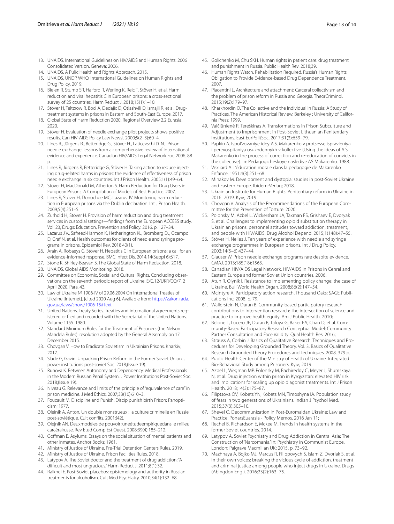- 13. UNAIDS. International Guidelines on HIV/AIDS and Human Rights. 2006 Consolidated Version. Geneva; 2006.
- 14. UNAIDS. A Pulic Health and Rights Approach. 2015.
- <span id="page-12-0"></span>15. UNAIDS, UNDP, WHO. International Guidelines on Human Rights and Drug Policy. 2019.
- <span id="page-12-1"></span>16. Bielen R, Stumo SR, Halford R, Werling K, Reic T, Stöver H, et al. Harm reduction and viral hepatitis C in European prisons: a cross-sectional survey of 25 countries. Harm Reduct J. 2018;15(1):1–10.
- <span id="page-12-2"></span>17. Stöver H, Teltzrow R, Boci A, Dedajic D, Otiashvili D, Ismajli R, et al. Drugtreatment systems in prisons in Eastern and South-East Europe. 2017.
- <span id="page-12-3"></span>18. Global State of Harm Reduction 2020. Regional Overview 2.2 Eurasia. 2020.
- <span id="page-12-4"></span>19. Stöver H. Evaluation of needle exchange pilot projects shows positive results. Can HIV-AIDS Policy Law Newsl. 2000;5(2–3):60–4.
- 20. Lines R., Jürgens R., Betteridge G., Stöver H., Laticevschi D. NJ. Prison needle exchange: lessons from a comprehensive review of international evidence and experience. Canadian HIV/AIDS Legal Network For; 2006. 88 p.
- 21. Lines R, Jürgens R, Betteridge G, Stöver H. Taking action to reduce injecting drug-related harms in prisons: the evidence of efectiveness of prison needle exchange in six countries. Int J Prison Health. 2005;1(1):49–64.
- 22. Stöver H, MacDonald M, Atherton S. Harm Reduction for Drug Users in European Prisons. A Compilation of Models of Best Practice. 2007.
- 23. Lines R, Stöver H, Donochoe MC, Lazarus JV. Monitoring harm reduction in European prisons via the Dublin declaration. Int J Prison Health. 2009;5(4):251–5.
- 24. Zurhold H, Stöver H. Provision of harm reduction and drug treatment services in custodial settings—fndings from the European ACCESS study. Vol. 23, Drugs: Education, Prevention and Policy. 2016. p. 127–34.
- 25. Lazarus J V., Safreed-Harmon K, Hetherington KL, Bromberg DJ, Ocampo D, Graf N, et al. Health outcomes for clients of needle and syringe programs in prisons. Epidemiol Rev. 2018;40(1).
- <span id="page-12-5"></span>26. Arain A, Robaeys G, Stöver H. Hepatitis C in European prisons: a call for an evidence-informed response. BMC Infect Dis. 2014;14(Suppl 6):S17.
- <span id="page-12-6"></span>27. Stone K, Shirley-Beavan S. The Global State of Harm Reduction. 2018.
- <span id="page-12-7"></span>28. UNAIDS. Global AIDS Monitoring. 2018.
- <span id="page-12-8"></span>29. Committee on Economic, Social and Cultural Rights. Concluding observations on the seventh periodic report of Ukraine. E/C.12/UKR/CO/7, 2 April 2020. Para. 43.
- <span id="page-12-9"></span>30. Law of Ukraine № 1906-IV of 29.06.2004 On International Treaties of Ukraine [Internet]. [cited 2020 Aug 6]. Available from: [https://zakon.rada.](https://zakon.rada.gov.ua/laws/show/1906-15#Text) [gov.ua/laws/show/1906-15#Text](https://zakon.rada.gov.ua/laws/show/1906-15#Text)
- <span id="page-12-10"></span>31. United Nations. Treaty Series. Treaties and international agreements registered or fled and recorded with the Secretariat of the United Nations. Volume 1155. 1980.
- <span id="page-12-11"></span>32. Standard Minimum Rules for the Treatment of Prisoners (the Nelson Mandela Rules): resolution adopted by the General Assembly on 17 December 2015.
- <span id="page-12-12"></span>33. Chovgan V. How to Eradicate Sovietism in Ukrainian Prisons. Kharkiv; 2017.
- <span id="page-12-13"></span>34. Slade G, Gavin. Unpacking Prison Reform in the Former Soviet Union. J power institutions post-soviet Soc. 2018;(Issue 19).
- <span id="page-12-14"></span>35. Runova K. Between Autonomy and Dependency: Medical Professionals in the Modern Russian Penal System. J Power Institutions Post-Soviet Soc. 2018;(Issue 19).
- <span id="page-12-15"></span>36. Niveau G. Relevance and limits of the principle of "equivalence of care" in prison medicine. J Med Ethics. 2007;33(10):610–3.
- <span id="page-12-16"></span>37. Foucault M. Discipline and Punish. Discip punish birth Prison: Panopticism; 1977.
- <span id="page-12-17"></span>38. Oleinik A, Anton. Un double monstrueux : la culture criminelle en Russie post-soviétique. Cult confits. 2001;(42).
- <span id="page-12-18"></span>39. Olejnik AN. Deuxmodèles de pouvoir :uneétudeempiriquedans le milieu carcéralrusse. Rev Etud Comp Est Ouest. 2008;39(4):185–212.
- <span id="page-12-19"></span>40. Gofman E. Asylums. Essays on the social situation of mental patients and other inmates. Anchor Books; 1961.
- <span id="page-12-20"></span>41. Ministry of Justice of Ukraine. Pre-Trial Detention Centers Rules. 2019.
- <span id="page-12-21"></span>42. Ministry of Justice of Ukraine. Prison Facilities Rules. 2018.
- <span id="page-12-22"></span>43. Latypov A. The Soviet doctor and the treatment of drug addiction: "A difficult and most ungracious." Harm Reduct J. 2011;8(1):32.
- <span id="page-12-23"></span>44. Raikhel E. Post-Soviet placebos: epistemology and authority in Russian treatments for alcoholism. Cult Med Psychiatry. 2010;34(1):132–68.
- <span id="page-12-24"></span>45. Golichenko M, Chu SKH. Human rights in patient care: drug treatment and punishment in Russia. Public Health Rev. 2018;39.
- <span id="page-12-25"></span>46. Human Rights Watch. Rehabilitation Required. Russia's Human Rights Obligation to Provide Evidence-based Drug Dependence Treatment. 2007.
- <span id="page-12-26"></span>47. Piacentini L. Architecture and attachment: Carceral collectivism and the problem of prison reform in Russia and Georgia. TheorCriminol. 2015;19(2):179–97.
- <span id="page-12-29"></span>48. Kharkhordin O. The Collective and the Individual in Russia: A Study of Practices. The American Historical Review. Berkeley : University of Califor‑ nia Press; 1999.
- <span id="page-12-27"></span>49. Vaičiūnienė R, Tereškinas A. Transformations in Prison Subculture and Adjustment to Imprisonment in Post-Soviet Lithuanian Penitentiary Institutions. East EurPolitSoc. 2017;31(3):659–79.
- <span id="page-12-28"></span>50. Papkin A. Ispol'zovaniye idey A.S. Makarenko v protsesse ispravleniya i perevospitaniya osuzhdennykh v kollektive (Using the ideas of A.S. Makarenko in the process of correction and re-education of convicts in the collective). In: Pedagogicheskoye naslediye AS Makarenko. 1988.
- <span id="page-12-30"></span>51. Vexliard A. L'éducation morale dans la pédagogie de Makarenko. Enfance. 1951;4(3):251–68.
- <span id="page-12-31"></span>52. Minakov M. Development and dystopia: studies in post-Soviet Ukraine and Eastern Europe. Ibidem-Verlag; 2018.
- <span id="page-12-32"></span>53. Ukrainian Institute for Human Rights. Penitentiary reform in Ukraine in 2016–2019. Kyiv; 2019.
- <span id="page-12-33"></span>54. Chovgan V. Analysis of the Recommendations of the European Committee for the Prevention of Torture. 2020.
- <span id="page-12-34"></span>55. Polonsky M, Azbel L, Wickersham JA, Taxman FS, Grishaev E, Dvoryak S, et al. Challenges to implementing opioid substitution therapy in Ukrainian prisons: personnel attitudes toward addiction, treatment, and people with HIV/AIDS. Drug Alcohol Depend. 2015;1(148):47–55.
- 56. Stöver H, Nelles J. Ten years of experience with needle and syringe exchange programmes in European prisons. Int J Drug Policy. 2003;14(5–6):437–44.
- <span id="page-12-35"></span>57. Glauser W. Prison needle exchange programs rare despite evidence. CMAJ. 2013;185(18):1563.
- <span id="page-12-36"></span>58. Canadian HIV/AIDS Legal Network. HIV/AIDS in Prisons in Cenral and Eastern Europe and former Soviet Union countries. 2006.
- <span id="page-12-37"></span>59. Atun R, Olynik I. Resistance to implementing policy change: the case of Ukraine. Bull World Health Organ. 2008;86(2):147–54.
- <span id="page-12-38"></span>60. McIntyre A. Participatory action research. Thousand Oaks: SAGE Publications Inc; 2008. p. 79.
- <span id="page-12-39"></span>61. Wallerstein N, Duran B. Community-based participatory research contributions to intervention research: The intersection of science and practice to improve health equity. Am J Public Health. 2010;
- <span id="page-12-40"></span>62. Belone L, Lucero JE, Duran B, Tafoya G, Baker EA, Chan D, et al. Community-Based Participatory Research Conceptual Model: Community Partner Consultation and Face Validity. Qual Health Res. 2016;
- <span id="page-12-41"></span>63. Strauss A, Corbin J. Basics of Qualitative Research: Techniques and Procedures for Developing Grounded Theory. Vol. 3, Basics of Qualitative Research Grounded Theory Procedures and Techniques. 2008. 379 p.
- <span id="page-12-42"></span>64. Public Health Center of the Ministry of Health of Ukraine. Integrated Bio-Behavioral Study among Prisoners. Kyiv; 2019.
- <span id="page-12-43"></span>65. Azbel L, Wegman MP, Polonsky M, Bachireddy C, Meyer J, Shumskaya N, et al. Drug injection within prison in Kyrgyzstan: elevated HIV risk and implications for scaling up opioid agonist treatments. Int J Prison Health. 2018;14(3):175–87.
- <span id="page-12-44"></span>66. Filiptsova OV, Kobets YN, Kobets MN, Timoshyna IA. Population study of fears in two generations of Ukrainians. Indian J Psychol Med. 2015;37(3):305–10.
- 67. Shevel O. Decommunization in Post-Euromaidan Ukraine: Law and Practice. PonarsEuarasia - Policy Memos. 2016 Jan 11;
- <span id="page-12-45"></span>68. Rechel B, Richardson E, Mckee M. Trends in health systems in the former Soviet countries. 2014.
- <span id="page-12-46"></span>69. Latypov A. Soviet Psychiatry and Drug Addiction in Central Asia: The Construction of 'Narcomania.' In: Psychiatry in Communist Europe. London: Palgrave Macmillan UK; 2015. p. 73–92.
- <span id="page-12-47"></span>70. Mazhnaya A, Bojko MJ, Marcus R, Filippovych S, Islam Z, Dvoriak S, et al. In their own voices: breaking the vicious cycle of addiction, treatment and criminal justice among people who inject drugs in Ukraine. Drugs (Abingdon Engl). 2016;23(2):163–75.